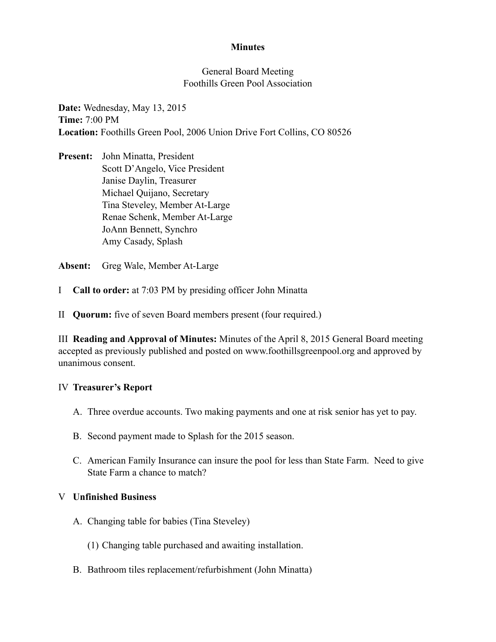## **Minutes**

## General Board Meeting Foothills Green Pool Association

**Date:** Wednesday, May 13, 2015 **Time:** 7:00 PM **Location:** Foothills Green Pool, 2006 Union Drive Fort Collins, CO 80526

**Present:** John Minatta, President Scott D'Angelo, Vice President Janise Daylin, Treasurer Michael Quijano, Secretary Tina Steveley, Member At-Large Renae Schenk, Member At-Large JoAnn Bennett, Synchro Amy Casady, Splash

**Absent:** Greg Wale, Member At-Large

- I **Call to order:** at 7:03 PM by presiding officer John Minatta
- II **Quorum:** five of seven Board members present (four required.)

III **Reading and Approval of Minutes:** Minutes of the April 8, 2015 General Board meeting accepted as previously published and posted on www.foothillsgreenpool.org and approved by unanimous consent.

#### IV **Treasurer's Report**

- A. Three overdue accounts. Two making payments and one at risk senior has yet to pay.
- B. Second payment made to Splash for the 2015 season.
- C. American Family Insurance can insure the pool for less than State Farm. Need to give State Farm a chance to match?

#### V **Unfinished Business**

- A. Changing table for babies (Tina Steveley)
	- (1) Changing table purchased and awaiting installation.
- B. Bathroom tiles replacement/refurbishment (John Minatta)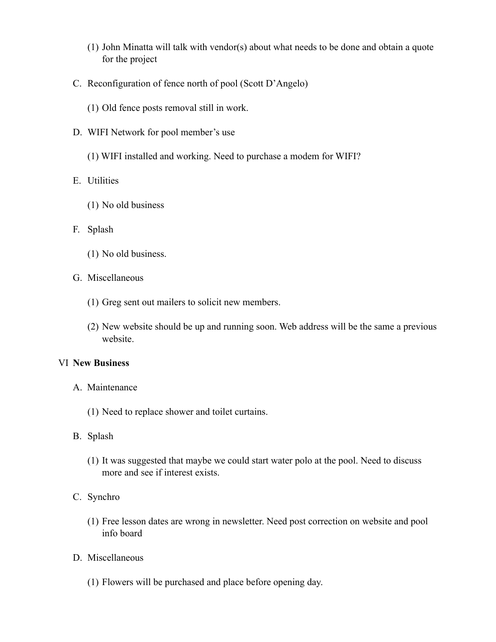- (1) John Minatta will talk with vendor(s) about what needs to be done and obtain a quote for the project
- C. Reconfiguration of fence north of pool (Scott D'Angelo)
	- (1) Old fence posts removal still in work.
- D. WIFI Network for pool member's use
	- (1) WIFI installed and working. Need to purchase a modem for WIFI?
- E. Utilities
	- (1) No old business
- F. Splash
	- (1) No old business.
- G. Miscellaneous
	- (1) Greg sent out mailers to solicit new members.
	- (2) New website should be up and running soon. Web address will be the same a previous website.

#### VI **New Business**

- A. Maintenance
	- (1) Need to replace shower and toilet curtains.
- B. Splash
	- (1) It was suggested that maybe we could start water polo at the pool. Need to discuss more and see if interest exists.
- C. Synchro
	- (1) Free lesson dates are wrong in newsletter. Need post correction on website and pool info board
- D. Miscellaneous
	- (1) Flowers will be purchased and place before opening day.